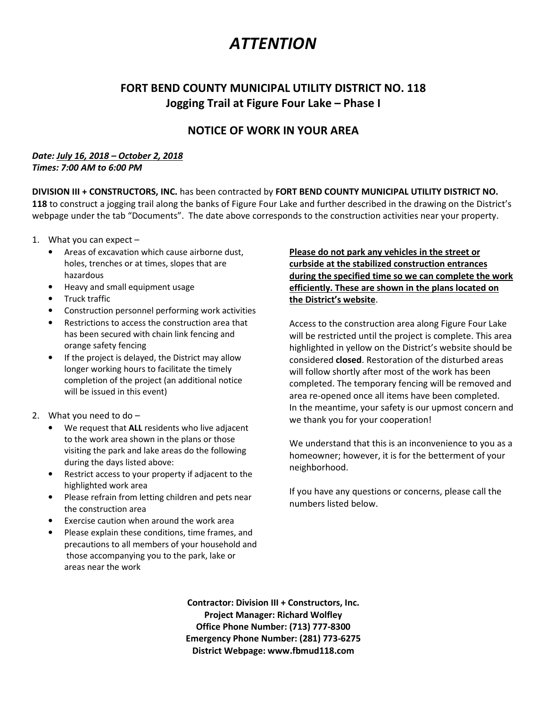### **ATTENTION**

#### FORT BEND COUNTY MUNICIPAL UTILITY DISTRICT NO. 118 Jogging Trail at Figure Four Lake – Phase I

#### NOTICE OF WORK IN YOUR AREA

#### Date: July 16, 2018 – October 2, 2018 Times: 7:00 AM to 6:00 PM

DIVISION III + CONSTRUCTORS, INC. has been contracted by FORT BEND COUNTY MUNICIPAL UTILITY DISTRICT NO. 118 to construct a jogging trail along the banks of Figure Four Lake and further described in the drawing on the District's webpage under the tab "Documents". The date above corresponds to the construction activities near your property.

- 1. What you can expect
	- Areas of excavation which cause airborne dust, holes, trenches or at times, slopes that are hazardous
	- Heavy and small equipment usage
	- Truck traffic
	- Construction personnel performing work activities
	- Restrictions to access the construction area that has been secured with chain link fencing and orange safety fencing
	- If the project is delayed, the District may allow longer working hours to facilitate the timely completion of the project (an additional notice will be issued in this event)
- 2. What you need to do
	- We request that ALL residents who live adjacent to the work area shown in the plans or those visiting the park and lake areas do the following during the days listed above:
	- Restrict access to your property if adjacent to the highlighted work area
	- Please refrain from letting children and pets near the construction area
	- Exercise caution when around the work area
	- Please explain these conditions, time frames, and precautions to all members of your household and those accompanying you to the park, lake or areas near the work

Please do not park any vehicles in the street or curbside at the stabilized construction entrances during the specified time so we can complete the work efficiently. These are shown in the plans located on the District's website.

Access to the construction area along Figure Four Lake will be restricted until the project is complete. This area highlighted in yellow on the District's website should be considered closed. Restoration of the disturbed areas will follow shortly after most of the work has been completed. The temporary fencing will be removed and area re-opened once all items have been completed. In the meantime, your safety is our upmost concern and we thank you for your cooperation!

We understand that this is an inconvenience to you as a homeowner; however, it is for the betterment of your neighborhood.

If you have any questions or concerns, please call the numbers listed below.

Contractor: Division III + Constructors, Inc. Project Manager: Richard Wolfley Office Phone Number: (713) 777-8300 Emergency Phone Number: (281) 773-6275 District Webpage: www.fbmud118.com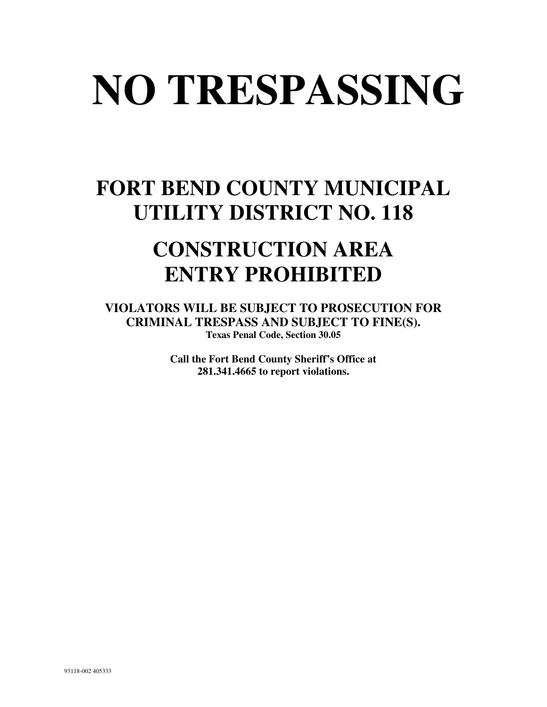# **NO TRESPASSING**

## **FORT BEND COUNTY MUNICIPAL UTILITY DISTRICT NO. 118**

## **CONSTRUCTION AREA ENTRY PROHIBITED**

**VIOLATORS WILL BE SUBJECT TO PROSECUTION FOR CRIMINAL TRESPASS AND SUBJECT TO FINE(S). Texas Penal Code, Section 30.05** 

> **Call the Fort Bend County Sheriff's Office at 281.341.4665 to report violations.**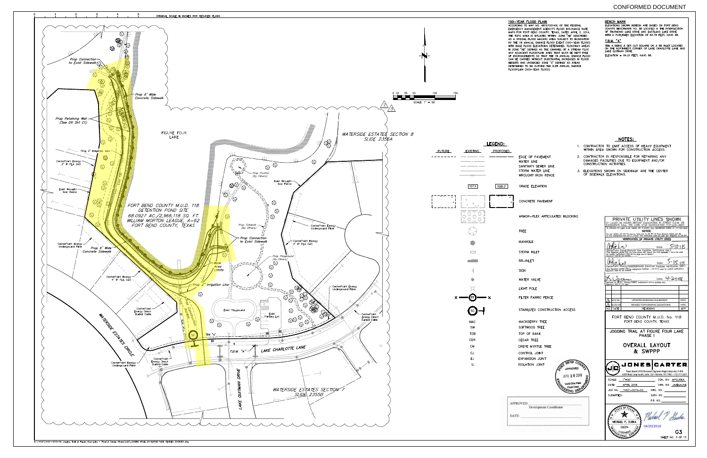